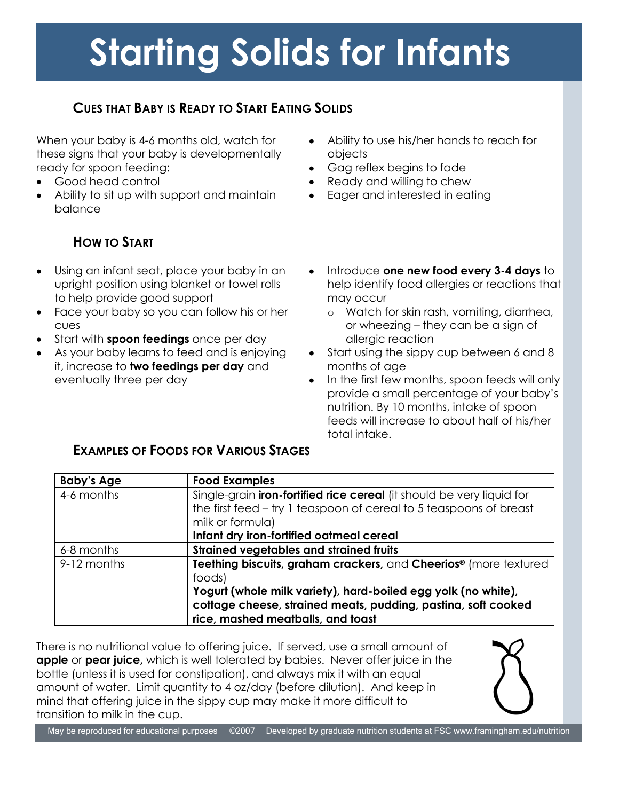# **Starting Solids for Infants**

## **CUES THAT BABY IS READY TO START EATING SOLIDS**

When your baby is 4-6 months old, watch for these signs that your baby is developmentally ready for spoon feeding:

- Good head control
- Ability to sit up with support and maintain balance

# **HOW TO START**

- Using an infant seat, place your baby in an  $\bullet$ upright position using blanket or towel rolls to help provide good support
- Face your baby so you can follow his or her cues
- Start with **spoon feedings** once per day
- As your baby learns to feed and is enjoying it, increase to **two feedings per day** and eventually three per day
- Ability to use his/her hands to reach for  $\bullet$ objects
- Gag reflex begins to fade
- Ready and willing to chew
- Eager and interested in eating
- Introduce **one new food every 3-4 days** to  $\bullet$ help identify food allergies or reactions that may occur
	- o Watch for skin rash, vomiting, diarrhea, or wheezing – they can be a sign of allergic reaction
- Start using the sippy cup between 6 and 8  $\bullet$ months of age
- In the first few months, spoon feeds will only  $\bullet$ provide a small percentage of your baby's nutrition. By 10 months, intake of spoon feeds will increase to about half of his/her total intake.

#### **EXAMPLES OF FOODS FOR VARIOUS STAGES**

| <b>Baby's Age</b> | <b>Food Examples</b>                                                         |
|-------------------|------------------------------------------------------------------------------|
| 4-6 months        | Single-grain <b>iron-fortified rice cereal</b> (it should be very liquid for |
|                   | the first feed – try 1 teaspoon of cereal to 5 teaspoons of breast           |
|                   | milk or formula)                                                             |
|                   | Infant dry iron-fortified oatmeal cereal                                     |
| 6-8 months        | <b>Strained vegetables and strained fruits</b>                               |
| 9-12 months       | Teething biscuits, graham crackers, and Cheerios® (more textured             |
|                   | foods)                                                                       |
|                   | Yogurt (whole milk variety), hard-boiled egg yolk (no white),                |
|                   | cottage cheese, strained meats, pudding, pastina, soft cooked                |
|                   | rice, mashed meatballs, and toast                                            |

There is no nutritional value to offering juice. If served, use a small amount of **apple** or **pear juice,** which is well tolerated by babies. Never offer juice in the bottle (unless it is used for constipation), and always mix it with an equal amount of water. Limit quantity to 4 oz/day (before dilution). And keep in mind that offering juice in the sippy cup may make it more difficult to transition to milk in the cup.

May be reproduced for educational purposes ©2007 Developed by graduate nutrition students at FSC www.framingham.edu/nutrition